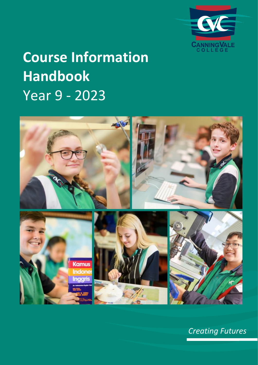

# **Course Information Handbook** Year 9 - 2023



*Creating Futures*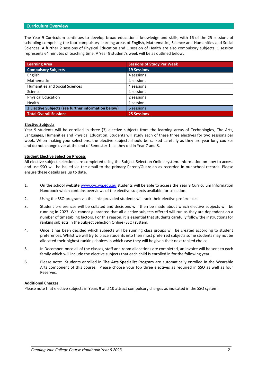# **Curriculum Overview**

The Year 9 Curriculum continues to develop broad educational knowledge and skills, with 16 of the 25 sessions of schooling comprising the four compulsory learning areas of English, Mathematics, Science and Humanities and Social Sciences. A further 2 sessions of Physical Education and 1 session of Health are also compulsory subjects. 1 session represents 64 minutes of teaching time. A Year 9 student's week will be as outlined below:

| <b>Learning Area</b>                                | <b>Sessions of Study Per Week</b> |
|-----------------------------------------------------|-----------------------------------|
| <b>Compulsory Subjects</b>                          | <b>19 Sessions</b>                |
| English                                             | 4 sessions                        |
| <b>Mathematics</b>                                  | 4 sessions                        |
| <b>Humanities and Social Sciences</b>               | 4 sessions                        |
| Science                                             | 4 sessions                        |
| <b>Physical Education</b>                           | 2 sessions                        |
| Health                                              | 1 session                         |
| 3 Elective Subjects (see further information below) | 6 sessions                        |
| <b>Total Overall Sessions</b>                       | <b>25 Sessions</b>                |

## **Elective Subjects**

Year 9 students will be enrolled in three (3) elective subjects from the learning areas of Technologies, The Arts, Languages, Humanities and Physical Education. Students will study each of these three electives for two sessions per week. When making your selections, the elective subjects should be ranked carefully as they are year-long courses and do not change over at the end of Semester 1, as they did in Year 7 and 8.

## **Student Elective Selection Process**

All elective subject selections are completed using the Subject Selection Online system. Information on how to access and use SSO will be issued via the email to the primary Parent/Guardian as recorded in our school records. Please ensure these details are up to date.

- 1. On the school website [www.cvc.wa.edu.au](http://www.cvc.wa.edu.au/) students will be able to access the Year 9 Curriculum Information Handbook which contains overviews of the elective subjects available for selection.
- 2. Using the SSO program via the links provided students will rank their elective preferences.
- 3. Student preferences will be collated and decisions will then be made about which elective subjects will be running in 2023. We cannot guarantee that all elective subjects offered will run as they are dependent on a number of timetabling factors. For this reason, it is essential that students carefully follow the instructions for ranking subjects in the Subject Selection Online (SSO) system.
- 4. Once it has been decided which subjects will be running class groups will be created according to student preferences. Whilst we will try to place students into their most preferred subjects some students may not be allocated their highest ranking choices in which case they will be given their next ranked choice.
- 5. In December, once all of the classes, staff and room allocations are completed, an invoice will be sent to each family which will include the elective subjects that each child is enrolled in for the following year.
- 6. Please note: Students enrolled in **The Arts Specialist Program** are automatically enrolled in the Wearable Arts component of this course. Please choose your top three electives as required in SSO as well as four Reserves.

#### **Additional Charges**

Please note that elective subjects in Years 9 and 10 attract compulsory charges as indicated in the SSO system.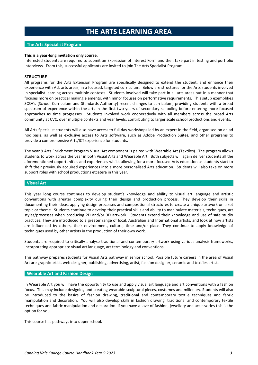# **THE ARTS LEARNING AREA**

## **The Arts Specialist Program**

#### **This is a year-long invitation only course.**

Interested students are required to submit an Expression of Interest Form and then take part in testing and portfolio interviews. From this, successful applicants are invited to join The Arts Specialist Program.

# **STRUCTURE**

All programs for the Arts Extension Program are specifically designed to extend the student, and enhance their experience with ALL arts areas, in a focused, targeted curriculum. Below are structures for the Arts students involved in specialist learning across multiple contexts. Students involved will take part in all arts areas but in a manner that focuses more on practical making elements, with minor focuses on performative requirements. This setup exemplifies SCSA's (School Curriculum and Standards Authority) recent changes to curriculum, providing students with a broad spectrum of experience within the arts in the first two years of secondary schooling before entering more focused approaches as time progresses. Students involved work cooperatively with all members across the broad Arts community at CVC, over multiple contexts and year levels, contributing to larger scale school productions and events.

All Arts Specialist students will also have access to full day workshops led by an expert in the field, organised on an ad hoc basis, as well as exclusive access to Arts software, such as Adobe Production Suites, and other programs to provide a comprehensive Arts/ICT experience for students.

The year 9 Arts Enrichment Program Visual Art component is paired with Wearable Art (Textiles). The program allows students to work across the year in both Visual Arts and Wearable Art. Both subjects will again deliver students all the aforementioned opportunities and experiences whilst allowing for a more focused Arts education as students start to shift their previously acquired experiences into a more personalised Arts education. Students will also take on more support roles with school productions etcetera in this year.

## **Visual Art**

This year long course continues to develop student's knowledge and ability to visual art language and artistic conventions with greater complexity during their design and production process. They develop their skills in documenting their ideas, applying design processes and compositional structures to create a unique artwork on a set topic or theme. Students continue to develop their practical skills and ability to manipulate materials, techniques, art styles/processes when producing 2D and/or 3D artwork. Students extend their knowledge and use of safe studio practices. They are introduced to a greater range of local, Australian and International artists, and look at how artists are influenced by others, their environment, culture, time and/or place. They continue to apply knowledge of techniques used by other artists in the production of their own work.

Students are required to critically analyse traditional and contemporary artwork using various analysis frameworks, incorporating appropriate visual art language, art terminology and conventions.

This pathway prepares students for Visual Arts pathway in senior school. Possible future careers in the area of Visual Art are graphic artist, web designer, publishing, advertising, artist, fashion designer, ceramic and textiles artist.

#### **Wearable Art and Fashion Design**

In Wearable Art you will have the opportunity to use and apply visual art language and art conventions with a fashion focus. This may include designing and creating wearable sculptural pieces, costumes and millenary. Students will also be introduced to the basics of fashion drawing, traditional and contemporary textile techniques and fabric manipulation and decoration. You will also develop skills in fashion drawing, traditional and contemporary textile techniques and fabric manipulation and decoration. If you have a love of fashion, jewellery and accessories this is the option for you.

This course has pathways into upper school.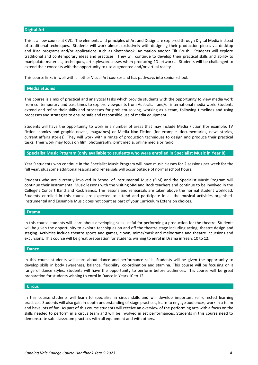## **Digital Art**

This is a new course at CVC. The elements and principles of Art and Design are explored through Digital Media instead of traditional techniques. Students will work almost exclusively with designing their production pieces via desktop and iPad programs and/or applications such as Sketchbook, Animation and/or Tilt Brush. Students will explore traditional and contemporary ideas and practices. They will continue to develop their practical skills and ability to manipulate materials, techniques, art styles/processes when producing 2D artworks. Students will be challenged to extend their concepts with the opportunity to use augmented and/or virtual reality.

This course links in well with all other Visual Art courses and has pathways into senior school.

#### **Media Studies**

This course is a mix of practical and analytical tasks which provide students with the opportunity to view media work from contemporary and past times to explore viewpoints from Australian and/or international media work. Students extend and refine their skills and processes for problem-solving, working as a team, following timelines and using processes and strategies to ensure safe and responsible use of media equipment.

Students will have the opportunity to work in a number of areas that may include Media Fiction (for example, TV fiction, comics and graphic novels, magazines) or Media Non-Fiction (for example, documentaries, news stories, current affairs stories). They will work with a range of production techniques to design and produce their practical tasks. Their work may focus on film, photography, print media, online media or radio.

#### **Specialist Music Program (only available to students who were enrolled in Specialist Music in Year 8)**

Year 9 students who continue in the Specialist Music Program will have music classes for 2 sessions per week for the full year, plus some additional lessons and rehearsals will occur outside of normal school hours.

Students who are currently involved in School of Instrumental Music (SIM) and the Specialist Music Program will continue their Instrumental Music lessons with the visiting SIM and Rock teachers and continue to be involved in the College's Concert Band and Rock Bands. The lessons and rehearsals are taken above the normal student workload. Students enrolled in this course are expected to attend and participate in all the musical activities organised. Instrumental and Ensemble Music does not count as part of your Curriculum Extension choices.

#### **Drama**

In this course students will learn about developing skills useful for performing a production for the theatre. Students will be given the opportunity to explore techniques on and off the theatre stage including acting, theatre design and staging. Activities include theatre sports and games, clown, mime/mask and melodrama and theatre incursions and excursions. This course will be great preparation for students wishing to enrol in Drama in Years 10 to 12.

#### **Dance**

In this course students will learn about dance and performance skills. Students will be given the opportunity to develop skills in body awareness, balance, flexibility, co-ordination and stamina. This course will be focusing on a range of dance styles. Students will have the opportunity to perform before audiences. This course will be great preparation for students wishing to enrol in Dance in Years 10 to 12.

## **Circus**

In this course students will learn to specialise in circus skills and will develop important self-directed learning practices. Students will also gain in-depth understanding of stage practices, learn to engage audiences, work in a team and have lots of fun. As part of this course students will receive an overview of the performing arts with a focus on the skills needed to perform in a circus team and will be involved in set performances. Students in this course need to demonstrate safe classroom practices with all equipment and with others.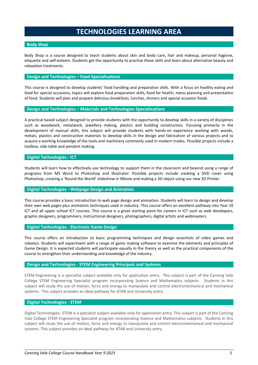# **TECHNOLOGIES LEARNING AREA**

## **Body Shop**

Body Shop is a course designed to teach students about skin and body care, hair and makeup, personal hygiene, etiquette and self-esteem. Students get the opportunity to practise these skills and learn about alternative beauty and relaxation treatments.

# **Design and Technologies – Food Specialisations**

This course is designed to develop students' food handling and preparation skills. With a focus on healthy eating and food for special occasions, topics will explore food preparation skills, food for health, menu planning and presentation of food. Students will plan and prepare delicious breakfasts, lunches, dinners and special occasion foods.

# **Design and Technologies – Materials and Technologies Specialisations**

A practical based subject designed to provide students with the opportunity to develop skills in a variety of disciplines such as woodwork, metalwork, jewellery making, plastics and building construction. Focusing primarily in the development of manual skills, this subject will provide students with hands-on experience working with woods, metals, plastics and construction materials to develop skills in the design and fabrication of various projects and to acquire a working knowledge of the tools and machinery commonly used in modern trades. Possible projects include a toolbox, side table and pendant making.

# **Digital Technologies - ICT**

Students will learn how to effectively use technology to support them in the classroom and beyond using a range of programs from MS Word to Photoshop and Illustrator. Possible projects include creating a DVD cover using Photoshop, creating a 'Round the World' slideshow in iMovie and making a 3D object using our new 3D Printer.

# **Digital Technologies - Webpage Design and Animation**

This course provides a basic introduction to web page design and animation. Students will learn to design and develop their own web pages plus animation techniques used in industry. This course offers an excellent pathway into Year 10 ICT and all upper school ICT courses. This course is a great starting point for careers in ICT such as web developers, graphic designers, programmers, instructional designers, photographers, digital artists and webmasters.

# **Digital Technologies - Electronic Game Design**

This course offers an introduction to basic programming techniques and design essentials of video games and robotics. Students will experiment with a range of game making software to examine the elements and principles of Game Design. It is expected students will participate equally in the theory as well as the practical components of the course to strengthen their understanding and knowledge of the industry.

# **Design and Technologies - STEM Engineering Principals and Systems**

STEM Engineering is a specialist subject available only for application entry. This subject is part of the Canning Vale College STEM Engineering Specialist program incorporating Science and Mathematics subjects. Students in this subject will study the use of motion, force and energy to manipulate and control electromechanical and mechanical systems. This subject provides an ideal pathway for ATAR and University entry.

# **Digital Technologies - STEM**

Digital Technologies- STEM is a specialist subject available only for application entry. This subject is part of the Canning Vale College STEM Engineering Specialist program incorporating Science and Mathematics subjects. Students in this subject will study the use of motion, force and energy to manipulate and control electromechanical and mechanical systems. This subject provides an ideal pathway for ATAR and University entry.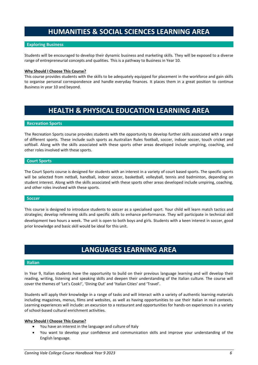# **HUMANITIES & SOCIAL SCIENCES LEARNING AREA**

# **Exploring Business**

Students will be encouraged to develop their dynamic business and marketing skills. They will be exposed to a diverse range of entrepreneurial concepts and qualities. This is a pathway to Business in Year 10.

## **Why Should I Choose This Course?**

This course provides students with the skills to be adequately equipped for placement in the workforce and gain skills to organise personal correspondence and handle everyday finances. It places them in a great position to continue Business in year 10 and beyond.

# **HEALTH & PHYSICAL EDUCATION LEARNING AREA**

## **Recreation Sports**

The Recreation Sports course provides students with the opportunity to develop further skills associated with a range of different sports. These include such sports as Australian Rules football, soccer, indoor soccer, touch cricket and softball. Along with the skills associated with these sports other areas developed include umpiring, coaching, and other roles involved with these sports.

## **Court Sports**

The Court Sports course is designed for students with an interest in a variety of court based sports. The specific sports will be selected from netball, handball, indoor soccer, basketball, volleyball, tennis and badminton, depending on student interest. Along with the skills associated with these sports other areas developed include umpiring, coaching, and other roles involved with these sports.

#### **Soccer**

This course is designed to introduce students to soccer as a specialised sport. Your child will learn match tactics and strategies; develop refereeing skills and specific skills to enhance performance. They will participate in technical skill development two hours a week. The unit is open to both boys and girls. Students with a keen interest in soccer, good prior knowledge and basic skill would be ideal for this unit.

# **LANGUAGES LEARNING AREA**

#### **Italian**

In Year 9, Italian students have the opportunity to build on their previous language learning and will develop their reading, writing, listening and speaking skills and deepen their understanding of the Italian culture. The course will cover the themes of 'Let's Cook!', 'Dining Out' and 'Italian Cities' and 'Travel'.

Students will apply their knowledge in a range of tasks and will interact with a variety of authentic learning materials including magazines, menus, films and websites, as well as having opportunities to use their Italian in real contexts. Learning experiences will include: an excursion to a restaurant and opportunities for hands-on experiences in a variety of school-based cultural enrichment activities.

## **Why Should I Choose This Course?**

- You have an interest in the language and culture of Italy
- You want to develop your confidence and communication skills and improve your understanding of the English language.